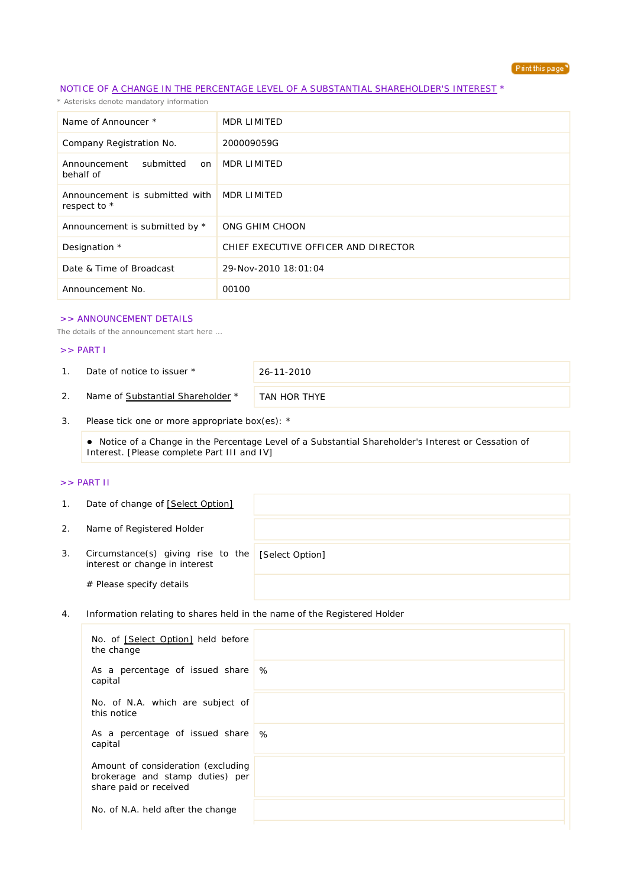

## NOTICE OF A CHANGE IN THE PERCENTAGE LEVEL OF A SUBSTANTIAL SHAREHOLDER'S INTEREST \*

*\* Asterisks denote mandatory information*

| Name of Announcer *                                        | MDR LIMITED                          |
|------------------------------------------------------------|--------------------------------------|
| Company Registration No.                                   | 200009059G                           |
| submitted<br>Announcement<br>on<br>behalf of               | MDR LIMITED                          |
| Announcement is submitted with MDR LIMITED<br>respect to * |                                      |
| Announcement is submitted by *                             | ONG GHIM CHOON                       |
| Designation *                                              | CHIEF EXECUTIVE OFFICER AND DIRECTOR |
| Date & Time of Broadcast                                   | 29-Nov-2010 18:01:04                 |
| Announcement No.                                           | 00100                                |

#### >> ANNOUNCEMENT DETAILS

*The details of the announcement start here ...*

### >> PART I

1. Date of notice to issuer \* 26-11-2010

2. Name of Substantial Shareholder \* TAN HOR THYE

3. Please tick one or more appropriate box(es): \*

 Notice of a Change in the Percentage Level of a Substantial Shareholder's Interest or Cessation of Interest. [Please complete Part III and IV]

### >> PART II

| $\mathbf{1}$ . | Date of change of [Select Option]                                    |                 |
|----------------|----------------------------------------------------------------------|-----------------|
| 2.             | Name of Registered Holder                                            |                 |
| 3.             | Circumstance(s) giving rise to the<br>interest or change in interest | [Select Option] |
|                | # Please specify details                                             |                 |

4. Information relating to shares held in the name of the Registered Holder

| No. of [Select Option] held before<br>the change                                                |   |
|-------------------------------------------------------------------------------------------------|---|
| As a percentage of issued share<br>capital                                                      | % |
| No. of N.A. which are subject of<br>this notice                                                 |   |
| As a percentage of issued share \%<br>capital                                                   |   |
| Amount of consideration (excluding<br>brokerage and stamp duties) per<br>share paid or received |   |
| No. of N.A. held after the change                                                               |   |